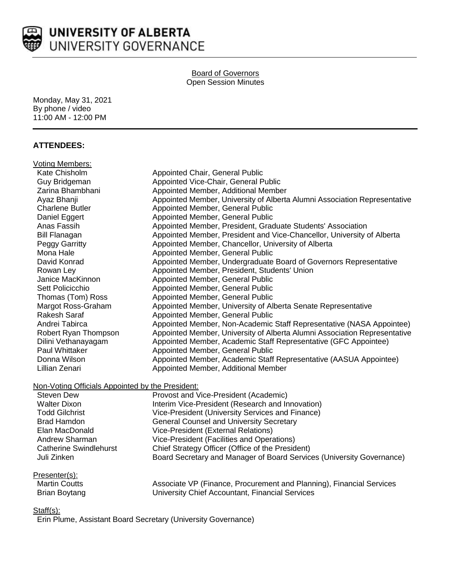

## Board of Governors Open Session Minutes

Monday, May 31, 2021 By phone / video 11:00 AM - 12:00 PM

# **ATTENDEES:**

| Voting Members:                                                                             |                                                                           |  |  |
|---------------------------------------------------------------------------------------------|---------------------------------------------------------------------------|--|--|
| Kate Chisholm                                                                               | Appointed Chair, General Public                                           |  |  |
| Guy Bridgeman                                                                               | Appointed Vice-Chair, General Public                                      |  |  |
| Zarina Bhambhani                                                                            | Appointed Member, Additional Member                                       |  |  |
| Ayaz Bhanji                                                                                 | Appointed Member, University of Alberta Alumni Association Representative |  |  |
| <b>Charlene Butler</b>                                                                      | Appointed Member, General Public                                          |  |  |
| Daniel Eggert                                                                               | Appointed Member, General Public                                          |  |  |
| Anas Fassih                                                                                 | Appointed Member, President, Graduate Students' Association               |  |  |
| <b>Bill Flanagan</b>                                                                        | Appointed Member, President and Vice-Chancellor, University of Alberta    |  |  |
| Peggy Garritty                                                                              | Appointed Member, Chancellor, University of Alberta                       |  |  |
| Mona Hale                                                                                   | Appointed Member, General Public                                          |  |  |
| David Konrad                                                                                | Appointed Member, Undergraduate Board of Governors Representative         |  |  |
| Rowan Ley                                                                                   | Appointed Member, President, Students' Union                              |  |  |
| Janice MacKinnon                                                                            | Appointed Member, General Public                                          |  |  |
| Sett Policicchio                                                                            | Appointed Member, General Public                                          |  |  |
| Thomas (Tom) Ross                                                                           | Appointed Member, General Public                                          |  |  |
| Margot Ross-Graham                                                                          | Appointed Member, University of Alberta Senate Representative             |  |  |
| <b>Rakesh Saraf</b>                                                                         | Appointed Member, General Public                                          |  |  |
| Andrei Tabirca                                                                              | Appointed Member, Non-Academic Staff Representative (NASA Appointee)      |  |  |
| Robert Ryan Thompson                                                                        | Appointed Member, University of Alberta Alumni Association Representative |  |  |
| Dilini Vethanayagam                                                                         | Appointed Member, Academic Staff Representative (GFC Appointee)           |  |  |
| Paul Whittaker                                                                              | Appointed Member, General Public                                          |  |  |
| Donna Wilson                                                                                | Appointed Member, Academic Staff Representative (AASUA Appointee)         |  |  |
| Lillian Zenari                                                                              | Appointed Member, Additional Member                                       |  |  |
| Non-Voting Officials Appointed by the President:                                            |                                                                           |  |  |
| $\sim$ $\sim$ $\sim$<br>$\mathbf{A}$ . The matrix $\mathbf{B}$ is the state of $\mathbf{A}$ |                                                                           |  |  |

| Steven Dew                    | Provost and Vice-President (Academic)                                 |
|-------------------------------|-----------------------------------------------------------------------|
| <b>Walter Dixon</b>           | Interim Vice-President (Research and Innovation)                      |
| <b>Todd Gilchrist</b>         | Vice-President (University Services and Finance)                      |
| Brad Hamdon                   | <b>General Counsel and University Secretary</b>                       |
| Elan MacDonald                | Vice-President (External Relations)                                   |
| Andrew Sharman                | Vice-President (Facilities and Operations)                            |
| <b>Catherine Swindlehurst</b> | Chief Strategy Officer (Office of the President)                      |
| Juli Zinken                   | Board Secretary and Manager of Board Services (University Governance) |
|                               |                                                                       |

# Presenter(s):<br>Martin Coutt

| ______________       |                                                                      |
|----------------------|----------------------------------------------------------------------|
| <b>Martin Coutts</b> | Associate VP (Finance, Procurement and Planning), Financial Services |
| Brian Boytang        | University Chief Accountant, Financial Services                      |

## Staff(s):

Erin Plume, Assistant Board Secretary (University Governance)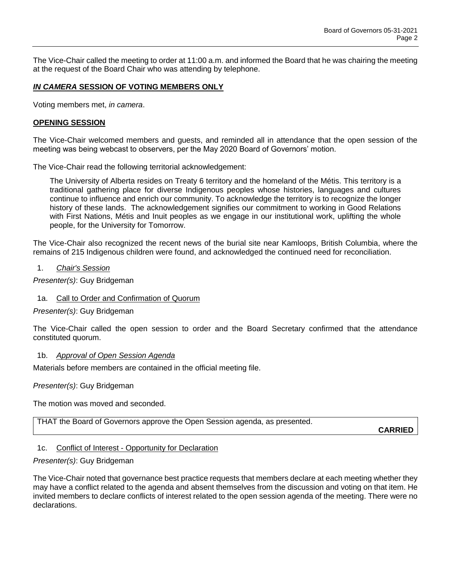The Vice-Chair called the meeting to order at 11:00 a.m. and informed the Board that he was chairing the meeting at the request of the Board Chair who was attending by telephone.

## *IN CAMERA* **SESSION OF VOTING MEMBERS ONLY**

Voting members met, *in camera*.

#### **OPENING SESSION**

The Vice-Chair welcomed members and guests, and reminded all in attendance that the open session of the meeting was being webcast to observers, per the May 2020 Board of Governors' motion.

The Vice-Chair read the following territorial acknowledgement:

The University of Alberta resides on Treaty 6 territory and the homeland of the Métis. This territory is a traditional gathering place for diverse Indigenous peoples whose histories, languages and cultures continue to influence and enrich our community. To acknowledge the territory is to recognize the longer history of these lands. The acknowledgement signifies our commitment to working in Good Relations with First Nations, Métis and Inuit peoples as we engage in our institutional work, uplifting the whole people, for the University for Tomorrow.

The Vice-Chair also recognized the recent news of the burial site near Kamloops, British Columbia, where the remains of 215 Indigenous children were found, and acknowledged the continued need for reconciliation.

#### 1. *Chair's Session*

*Presenter(s)*: Guy Bridgeman

## 1a. Call to Order and Confirmation of Quorum

*Presenter(s)*: Guy Bridgeman

The Vice-Chair called the open session to order and the Board Secretary confirmed that the attendance constituted quorum.

#### 1b. *Approval of Open Session Agenda*

Materials before members are contained in the official meeting file.

*Presenter(s)*: Guy Bridgeman

The motion was moved and seconded.

THAT the Board of Governors approve the Open Session agenda, as presented.

**CARRIED**

#### 1c. Conflict of Interest - Opportunity for Declaration

## *Presenter(s)*: Guy Bridgeman

The Vice-Chair noted that governance best practice requests that members declare at each meeting whether they may have a conflict related to the agenda and absent themselves from the discussion and voting on that item. He invited members to declare conflicts of interest related to the open session agenda of the meeting. There were no declarations.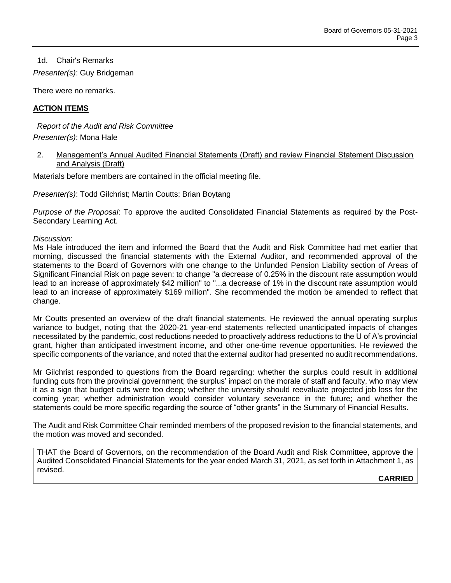1d. Chair's Remarks

*Presenter(s)*: Guy Bridgeman

There were no remarks.

#### **ACTION ITEMS**

*Report of the Audit and Risk Committee Presenter(s)*: Mona Hale

2. Management's Annual Audited Financial Statements (Draft) and review Financial Statement Discussion and Analysis (Draft)

Materials before members are contained in the official meeting file.

*Presenter(s)*: Todd Gilchrist; Martin Coutts; Brian Boytang

*Purpose of the Proposal*: To approve the audited Consolidated Financial Statements as required by the Post-Secondary Learning Act.

*Discussion*:

Ms Hale introduced the item and informed the Board that the Audit and Risk Committee had met earlier that morning, discussed the financial statements with the External Auditor, and recommended approval of the statements to the Board of Governors with one change to the Unfunded Pension Liability section of Areas of Significant Financial Risk on page seven: to change "a decrease of 0.25% in the discount rate assumption would lead to an increase of approximately \$42 million" to "...a decrease of 1% in the discount rate assumption would lead to an increase of approximately \$169 million". She recommended the motion be amended to reflect that change.

Mr Coutts presented an overview of the draft financial statements. He reviewed the annual operating surplus variance to budget, noting that the 2020-21 year-end statements reflected unanticipated impacts of changes necessitated by the pandemic, cost reductions needed to proactively address reductions to the U of A's provincial grant, higher than anticipated investment income, and other one-time revenue opportunities. He reviewed the specific components of the variance, and noted that the external auditor had presented no audit recommendations.

Mr Gilchrist responded to questions from the Board regarding: whether the surplus could result in additional funding cuts from the provincial government; the surplus' impact on the morale of staff and faculty, who may view it as a sign that budget cuts were too deep; whether the university should reevaluate projected job loss for the coming year; whether administration would consider voluntary severance in the future; and whether the statements could be more specific regarding the source of "other grants" in the Summary of Financial Results.

The Audit and Risk Committee Chair reminded members of the proposed revision to the financial statements, and the motion was moved and seconded.

THAT the Board of Governors, on the recommendation of the Board Audit and Risk Committee, approve the Audited Consolidated Financial Statements for the year ended March 31, 2021, as set forth in Attachment 1, as revised.

**CARRIED**